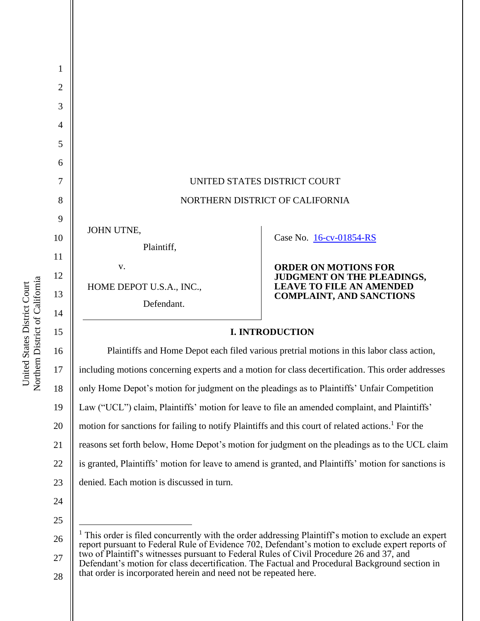

16 17 18 19 20 21 22 23 Plaintiffs and Home Depot each filed various pretrial motions in this labor class action, including motions concerning experts and a motion for class decertification. This order addresses only Home Depot's motion for judgment on the pleadings as to Plaintiffs' Unfair Competition Law ("UCL") claim, Plaintiffs' motion for leave to file an amended complaint, and Plaintiffs' motion for sanctions for failing to notify Plaintiffs and this court of related actions. <sup>1</sup> For the reasons set forth below, Home Depot's motion for judgment on the pleadings as to the UCL claim is granted, Plaintiffs' motion for leave to amend is granted, and Plaintiffs' motion for sanctions is denied. Each motion is discussed in turn.

24 25

28 Defendant's motion for class decertification. The Factual and Procedural Background section in that order is incorporated herein and need not be repeated here.

Northern District of California Northern District of California United States District Court United States District Court

<sup>26</sup> 27  $<sup>1</sup>$  This order is filed concurrently with the order addressing Plaintiff's motion to exclude an expert</sup> report pursuant to Federal Rule of Evidence 702, Defendant's motion to exclude expert reports of two of Plaintiff's witnesses pursuant to Federal Rules of Civil Procedure 26 and 37, and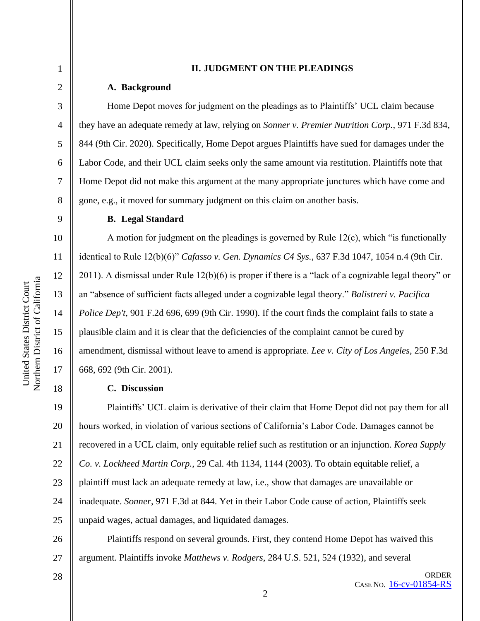## **II. JUDGMENT ON THE PLEADINGS**

#### **A. Background**

Home Depot moves for judgment on the pleadings as to Plaintiffs' UCL claim because they have an adequate remedy at law, relying on *Sonner v. Premier Nutrition Corp.*, 971 F.3d 834, 844 (9th Cir. 2020). Specifically, Home Depot argues Plaintiffs have sued for damages under the Labor Code, and their UCL claim seeks only the same amount via restitution. Plaintiffs note that Home Depot did not make this argument at the many appropriate junctures which have come and gone, e.g., it moved for summary judgment on this claim on another basis.

#### **B. Legal Standard**

A motion for judgment on the pleadings is governed by Rule 12(c), which "is functionally identical to Rule 12(b)(6)" *Cafasso v. Gen. Dynamics C4 Sys.*, 637 F.3d 1047, 1054 n.4 (9th Cir. 2011). A dismissal under Rule 12(b)(6) is proper if there is a "lack of a cognizable legal theory" or an "absence of sufficient facts alleged under a cognizable legal theory." *Balistreri v. Pacifica Police Dep't*, 901 F.2d 696, 699 (9th Cir. 1990). If the court finds the complaint fails to state a plausible claim and it is clear that the deficiencies of the complaint cannot be cured by amendment, dismissal without leave to amend is appropriate. *Lee v. City of Los Angeles*, 250 F.3d 668, 692 (9th Cir. 2001).

# **C. Discussion**

19 20 21 22 23 24 25 Plaintiffs' UCL claim is derivative of their claim that Home Depot did not pay them for all hours worked, in violation of various sections of California's Labor Code. Damages cannot be recovered in a UCL claim, only equitable relief such as restitution or an injunction. *Korea Supply Co. v. Lockheed Martin Corp.*, 29 Cal. 4th 1134, 1144 (2003). To obtain equitable relief, a plaintiff must lack an adequate remedy at law, i.e., show that damages are unavailable or inadequate. *Sonner*, 971 F.3d at 844. Yet in their Labor Code cause of action, Plaintiffs seek unpaid wages, actual damages, and liquidated damages.

26 27 Plaintiffs respond on several grounds. First, they contend Home Depot has waived this argument. Plaintiffs invoke *Matthews v. Rodgers*, 284 U.S. 521, 524 (1932), and several

28

1

2

3

4

5

6

7

8

9

10

11

12

13

14

15

16

17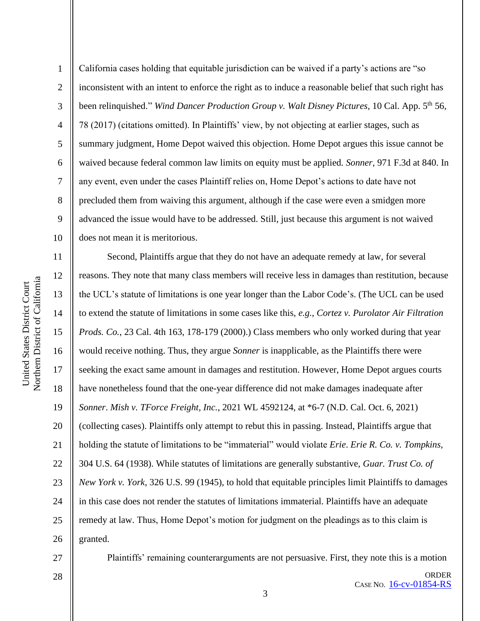1 2 3 4 5 6 7 8 9 10 California cases holding that equitable jurisdiction can be waived if a party's actions are "so inconsistent with an intent to enforce the right as to induce a reasonable belief that such right has been relinquished." *Wind Dancer Production Group v. Walt Disney Pictures*, 10 Cal. App. 5th 56, 78 (2017) (citations omitted). In Plaintiffs' view, by not objecting at earlier stages, such as summary judgment, Home Depot waived this objection. Home Depot argues this issue cannot be waived because federal common law limits on equity must be applied. *Sonner*, 971 F.3d at 840. In any event, even under the cases Plaintiff relies on, Home Depot's actions to date have not precluded them from waiving this argument, although if the case were even a smidgen more advanced the issue would have to be addressed. Still, just because this argument is not waived does not mean it is meritorious.

11 12 13 14 15 16 17 18 19 20 21 22 23 24 25 26 Second, Plaintiffs argue that they do not have an adequate remedy at law, for several reasons. They note that many class members will receive less in damages than restitution, because the UCL's statute of limitations is one year longer than the Labor Code's. (The UCL can be used to extend the statute of limitations in some cases like this, *e.g.*, *Cortez v. Purolator Air Filtration Prods. Co.*, 23 Cal. 4th 163, 178-179 (2000).) Class members who only worked during that year would receive nothing. Thus, they argue *Sonner* is inapplicable, as the Plaintiffs there were seeking the exact same amount in damages and restitution. However, Home Depot argues courts have nonetheless found that the one-year difference did not make damages inadequate after *Sonner*. *Mish v. TForce Freight, Inc.*, 2021 WL 4592124, at \*6-7 (N.D. Cal. Oct. 6, 2021) (collecting cases). Plaintiffs only attempt to rebut this in passing. Instead, Plaintiffs argue that holding the statute of limitations to be "immaterial" would violate *Erie*. *Erie R. Co. v. Tompkins*, 304 U.S. 64 (1938). While statutes of limitations are generally substantive, *Guar. Trust Co. of New York v. York*, 326 U.S. 99 (1945), to hold that equitable principles limit Plaintiffs to damages in this case does not render the statutes of limitations immaterial. Plaintiffs have an adequate remedy at law. Thus, Home Depot's motion for judgment on the pleadings as to this claim is granted.

27

Plaintiffs' remaining counterarguments are not persuasive. First, they note this is a motion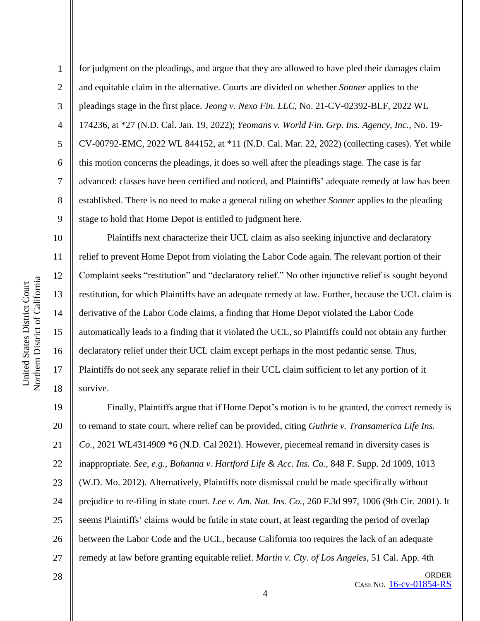11

12

13

14

15

16

17

18

1 2 3 4 5 6 7 8 9 for judgment on the pleadings, and argue that they are allowed to have pled their damages claim and equitable claim in the alternative. Courts are divided on whether *Sonner* applies to the pleadings stage in the first place. *Jeong v. Nexo Fin. LLC*, No. 21-CV-02392-BLF, 2022 WL 174236, at \*27 (N.D. Cal. Jan. 19, 2022); *Yeomans v. World Fin. Grp. Ins. Agency, Inc.*, No. 19- CV-00792-EMC, 2022 WL 844152, at \*11 (N.D. Cal. Mar. 22, 2022) (collecting cases). Yet while this motion concerns the pleadings, it does so well after the pleadings stage. The case is far advanced: classes have been certified and noticed, and Plaintiffs' adequate remedy at law has been established. There is no need to make a general ruling on whether *Sonner* applies to the pleading stage to hold that Home Depot is entitled to judgment here.

Plaintiffs next characterize their UCL claim as also seeking injunctive and declaratory relief to prevent Home Depot from violating the Labor Code again. The relevant portion of their Complaint seeks "restitution" and "declaratory relief." No other injunctive relief is sought beyond restitution, for which Plaintiffs have an adequate remedy at law. Further, because the UCL claim is derivative of the Labor Code claims, a finding that Home Depot violated the Labor Code automatically leads to a finding that it violated the UCL, so Plaintiffs could not obtain any further declaratory relief under their UCL claim except perhaps in the most pedantic sense. Thus, Plaintiffs do not seek any separate relief in their UCL claim sufficient to let any portion of it survive.

19 20 21 22 23 24 25 26 27 Finally, Plaintiffs argue that if Home Depot's motion is to be granted, the correct remedy is to remand to state court, where relief can be provided, citing *Guthrie v. Transamerica Life Ins. Co.*, 2021 WL4314909 \*6 (N.D. Cal 2021). However, piecemeal remand in diversity cases is inappropriate. *See, e.g.*, *Bohanna v. Hartford Life & Acc. Ins. Co.*, 848 F. Supp. 2d 1009, 1013 (W.D. Mo. 2012). Alternatively, Plaintiffs note dismissal could be made specifically without prejudice to re-filing in state court. *Lee v. Am. Nat. Ins. Co.*, 260 F.3d 997, 1006 (9th Cir. 2001). It seems Plaintiffs' claims would be futile in state court, at least regarding the period of overlap between the Labor Code and the UCL, because California too requires the lack of an adequate remedy at law before granting equitable relief. *Martin v. Cty. of Los Angeles*, 51 Cal. App. 4th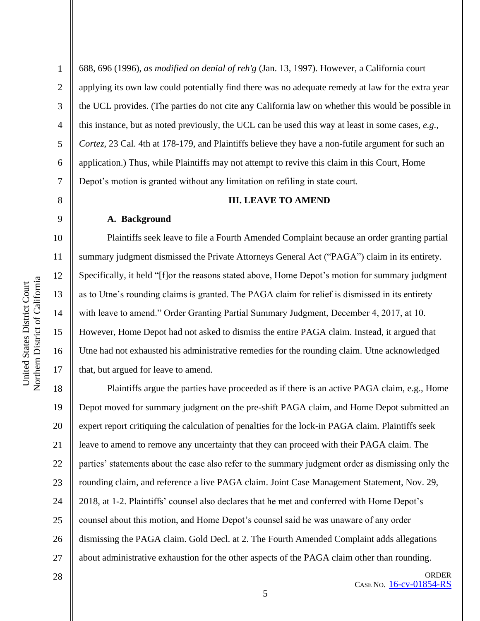2

3

4

5

6

7

8

9

10

11

12

13

14

15

16

17

688, 696 (1996), *as modified on denial of reh'g* (Jan. 13, 1997). However, a California court applying its own law could potentially find there was no adequate remedy at law for the extra year the UCL provides. (The parties do not cite any California law on whether this would be possible in this instance, but as noted previously, the UCL can be used this way at least in some cases, *e.g.*, *Cortez*, 23 Cal. 4th at 178-179, and Plaintiffs believe they have a non-futile argument for such an application.) Thus, while Plaintiffs may not attempt to revive this claim in this Court, Home Depot's motion is granted without any limitation on refiling in state court.

#### **III. LEAVE TO AMEND**

#### **A. Background**

Plaintiffs seek leave to file a Fourth Amended Complaint because an order granting partial summary judgment dismissed the Private Attorneys General Act ("PAGA") claim in its entirety. Specifically, it held "[f]or the reasons stated above, Home Depot's motion for summary judgment as to Utne's rounding claims is granted. The PAGA claim for relief is dismissed in its entirety with leave to amend." Order Granting Partial Summary Judgment, December 4, 2017, at 10. However, Home Depot had not asked to dismiss the entire PAGA claim. Instead, it argued that Utne had not exhausted his administrative remedies for the rounding claim. Utne acknowledged that, but argued for leave to amend.

18 19 20 21 22 23 24 25 26 27 Plaintiffs argue the parties have proceeded as if there is an active PAGA claim, e.g., Home Depot moved for summary judgment on the pre-shift PAGA claim, and Home Depot submitted an expert report critiquing the calculation of penalties for the lock-in PAGA claim. Plaintiffs seek leave to amend to remove any uncertainty that they can proceed with their PAGA claim. The parties' statements about the case also refer to the summary judgment order as dismissing only the rounding claim, and reference a live PAGA claim. Joint Case Management Statement, Nov. 29, 2018, at 1-2. Plaintiffs' counsel also declares that he met and conferred with Home Depot's counsel about this motion, and Home Depot's counsel said he was unaware of any order dismissing the PAGA claim. Gold Decl. at 2. The Fourth Amended Complaint adds allegations about administrative exhaustion for the other aspects of the PAGA claim other than rounding.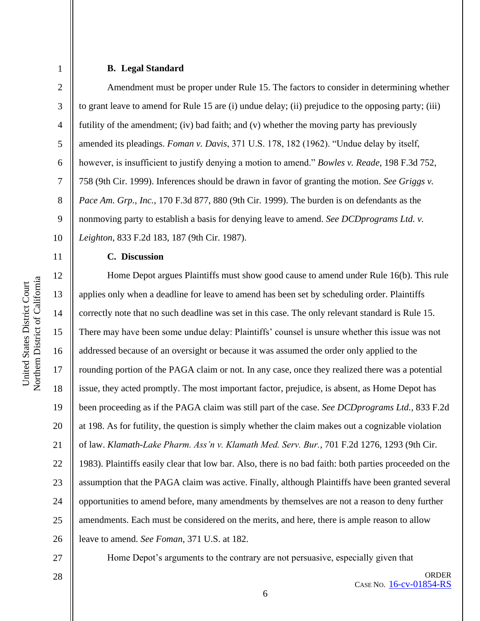6

7

8

9

10

11

12

13

14

15

16

17

18

19

20

21

22

23

24

25

26

1

#### **B. Legal Standard**

Amendment must be proper under Rule 15. The factors to consider in determining whether to grant leave to amend for Rule 15 are (i) undue delay; (ii) prejudice to the opposing party; (iii) futility of the amendment; (iv) bad faith; and (v) whether the moving party has previously amended its pleadings. *Foman v. Davis*, 371 U.S. 178, 182 (1962). "Undue delay by itself, however, is insufficient to justify denying a motion to amend." *Bowles v. Reade*, 198 F.3d 752, 758 (9th Cir. 1999). Inferences should be drawn in favor of granting the motion. *See Griggs v. Pace Am. Grp., Inc.*, 170 F.3d 877, 880 (9th Cir. 1999). The burden is on defendants as the nonmoving party to establish a basis for denying leave to amend. *See DCDprograms Ltd. v. Leighton*, 833 F.2d 183, 187 (9th Cir. 1987).

## **C. Discussion**

Home Depot argues Plaintiffs must show good cause to amend under Rule 16(b). This rule applies only when a deadline for leave to amend has been set by scheduling order. Plaintiffs correctly note that no such deadline was set in this case. The only relevant standard is Rule 15. There may have been some undue delay: Plaintiffs' counsel is unsure whether this issue was not addressed because of an oversight or because it was assumed the order only applied to the rounding portion of the PAGA claim or not. In any case, once they realized there was a potential issue, they acted promptly. The most important factor, prejudice, is absent, as Home Depot has been proceeding as if the PAGA claim was still part of the case. *See DCDprograms Ltd.*, 833 F.2d at 198. As for futility, the question is simply whether the claim makes out a cognizable violation of law. *Klamath-Lake Pharm. Ass'n v. Klamath Med. Serv. Bur.*, 701 F.2d 1276, 1293 (9th Cir. 1983). Plaintiffs easily clear that low bar. Also, there is no bad faith: both parties proceeded on the assumption that the PAGA claim was active. Finally, although Plaintiffs have been granted several opportunities to amend before, many amendments by themselves are not a reason to deny further amendments. Each must be considered on the merits, and here, there is ample reason to allow leave to amend. *See Foman*, 371 U.S. at 182.

27

Home Depot's arguments to the contrary are not persuasive, especially given that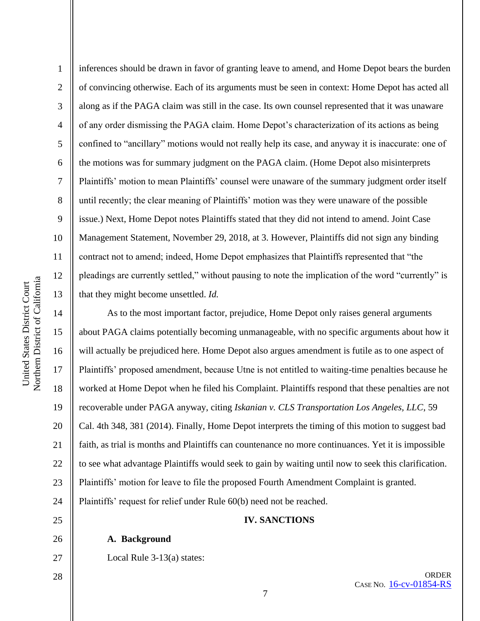15

16

17

18

19

20

21

22

23

24

1 2 3 4 5 6 7 8 9 10 11 12 13 inferences should be drawn in favor of granting leave to amend, and Home Depot bears the burden of convincing otherwise. Each of its arguments must be seen in context: Home Depot has acted all along as if the PAGA claim was still in the case. Its own counsel represented that it was unaware of any order dismissing the PAGA claim. Home Depot's characterization of its actions as being confined to "ancillary" motions would not really help its case, and anyway it is inaccurate: one of the motions was for summary judgment on the PAGA claim. (Home Depot also misinterprets Plaintiffs' motion to mean Plaintiffs' counsel were unaware of the summary judgment order itself until recently; the clear meaning of Plaintiffs' motion was they were unaware of the possible issue.) Next, Home Depot notes Plaintiffs stated that they did not intend to amend. Joint Case Management Statement, November 29, 2018, at 3. However, Plaintiffs did not sign any binding contract not to amend; indeed, Home Depot emphasizes that Plaintiffs represented that "the pleadings are currently settled," without pausing to note the implication of the word "currently" is that they might become unsettled. *Id.*

As to the most important factor, prejudice, Home Depot only raises general arguments about PAGA claims potentially becoming unmanageable, with no specific arguments about how it will actually be prejudiced here. Home Depot also argues amendment is futile as to one aspect of Plaintiffs' proposed amendment, because Utne is not entitled to waiting-time penalties because he worked at Home Depot when he filed his Complaint. Plaintiffs respond that these penalties are not recoverable under PAGA anyway, citing *Iskanian v. CLS Transportation Los Angeles, LLC*, 59 Cal. 4th 348, 381 (2014). Finally, Home Depot interprets the timing of this motion to suggest bad faith, as trial is months and Plaintiffs can countenance no more continuances. Yet it is impossible to see what advantage Plaintiffs would seek to gain by waiting until now to seek this clarification. Plaintiffs' motion for leave to file the proposed Fourth Amendment Complaint is granted. Plaintiffs' request for relief under Rule 60(b) need not be reached.

25

26

27

# **A. Background**

Local Rule 3-13(a) states:

28

**IV. SANCTIONS**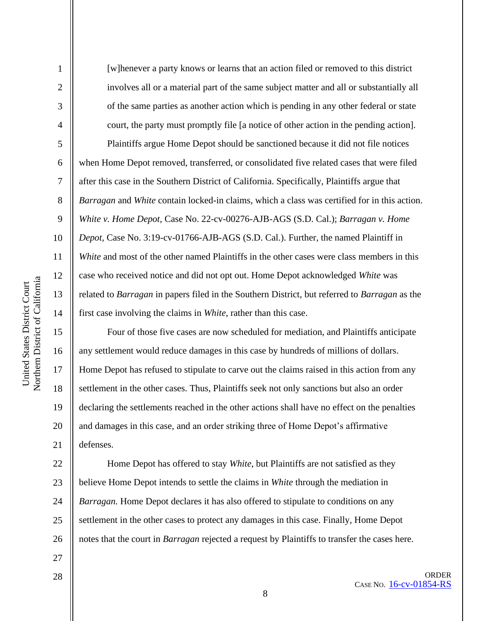2

3

4

5

6

7

8

9

10

11

12

13

14

15

16

17

18

19

20

21

[w]henever a party knows or learns that an action filed or removed to this district involves all or a material part of the same subject matter and all or substantially all of the same parties as another action which is pending in any other federal or state court, the party must promptly file [a notice of other action in the pending action]. Plaintiffs argue Home Depot should be sanctioned because it did not file notices when Home Depot removed, transferred, or consolidated five related cases that were filed after this case in the Southern District of California. Specifically, Plaintiffs argue that *Barragan* and *White* contain locked-in claims, which a class was certified for in this action. *White v. Home Depot*, Case No. 22-cv-00276-AJB-AGS (S.D. Cal.); *Barragan v. Home Depot*, Case No. 3:19-cv-01766-AJB-AGS (S.D. Cal.). Further, the named Plaintiff in *White* and most of the other named Plaintiffs in the other cases were class members in this case who received notice and did not opt out. Home Depot acknowledged *White* was related to *Barragan* in papers filed in the Southern District, but referred to *Barragan* as the first case involving the claims in *White*, rather than this case.

Four of those five cases are now scheduled for mediation, and Plaintiffs anticipate any settlement would reduce damages in this case by hundreds of millions of dollars. Home Depot has refused to stipulate to carve out the claims raised in this action from any settlement in the other cases. Thus, Plaintiffs seek not only sanctions but also an order declaring the settlements reached in the other actions shall have no effect on the penalties and damages in this case, and an order striking three of Home Depot's affirmative defenses.

22 23 24 25 26 Home Depot has offered to stay *White*, but Plaintiffs are not satisfied as they believe Home Depot intends to settle the claims in *White* through the mediation in *Barragan.* Home Depot declares it has also offered to stipulate to conditions on any settlement in the other cases to protect any damages in this case. Finally, Home Depot notes that the court in *Barragan* rejected a request by Plaintiffs to transfer the cases here.

28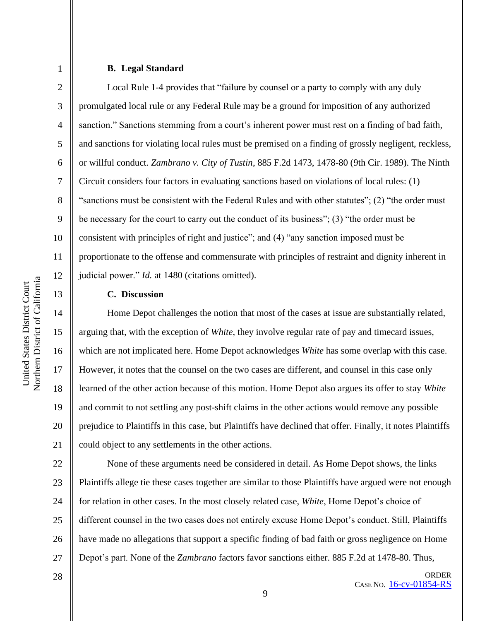3

4

5

6

7

8

9

10

11

12

13

14

15

16

17

18

19

20

21

# **B. Legal Standard**

Local Rule 1-4 provides that "failure by counsel or a party to comply with any duly promulgated local rule or any Federal Rule may be a ground for imposition of any authorized sanction." Sanctions stemming from a court's inherent power must rest on a finding of bad faith, and sanctions for violating local rules must be premised on a finding of grossly negligent, reckless, or willful conduct. *Zambrano v. City of Tustin*, 885 F.2d 1473, 1478-80 (9th Cir. 1989). The Ninth Circuit considers four factors in evaluating sanctions based on violations of local rules: (1) "sanctions must be consistent with the Federal Rules and with other statutes"; (2) "the order must be necessary for the court to carry out the conduct of its business"; (3) "the order must be consistent with principles of right and justice"; and (4) "any sanction imposed must be proportionate to the offense and commensurate with principles of restraint and dignity inherent in judicial power." *Id.* at 1480 (citations omitted).

#### **C. Discussion**

Home Depot challenges the notion that most of the cases at issue are substantially related, arguing that, with the exception of *White*, they involve regular rate of pay and timecard issues, which are not implicated here. Home Depot acknowledges *White* has some overlap with this case. However, it notes that the counsel on the two cases are different, and counsel in this case only learned of the other action because of this motion. Home Depot also argues its offer to stay *White*  and commit to not settling any post-shift claims in the other actions would remove any possible prejudice to Plaintiffs in this case, but Plaintiffs have declined that offer. Finally, it notes Plaintiffs could object to any settlements in the other actions.

22 23 24 25 26 27 None of these arguments need be considered in detail. As Home Depot shows, the links Plaintiffs allege tie these cases together are similar to those Plaintiffs have argued were not enough for relation in other cases. In the most closely related case, *White*, Home Depot's choice of different counsel in the two cases does not entirely excuse Home Depot's conduct. Still, Plaintiffs have made no allegations that support a specific finding of bad faith or gross negligence on Home Depot's part. None of the *Zambrano* factors favor sanctions either. 885 F.2d at 1478-80. Thus,